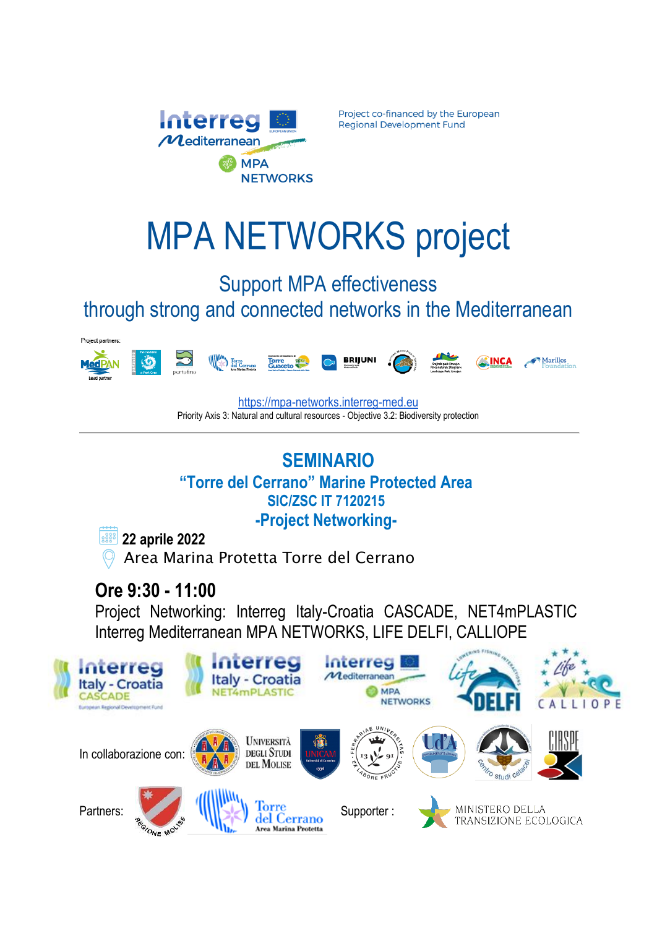

Project co-financed by the European **Regional Development Fund** 

# MPA NETWORKS project

## Support MPA effectiveness through strong and connected networks in the Mediterranean



[https://mpa-networks.interreg-med.eu](https://mpa-networks.interreg-med.eu/) Priority Axis 3: Natural and cultural resources - Objective 3.2: Biodiversity protection

### **SEMINARIO "Torre del Cerrano" Marine Protected Area SIC/ZSC IT 7120215**

**-Project Networking-**



 **22 aprile 2022** 

Area Marina Protetta Torre del Cerrano

# **Ore 9:30 - 11:00**

Project Networking: Interreg Italy-Croatia CASCADE, NET4mPLASTIC Interreg Mediterranean MPA NETWORKS, LIFE DELFI, CALLIOPE